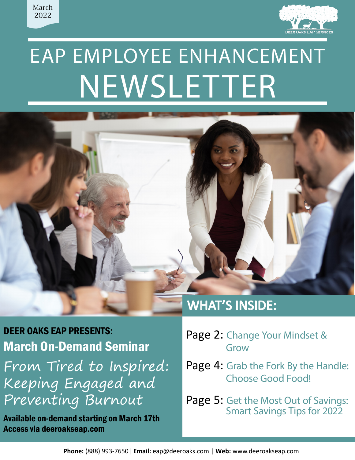



# EAP EMPLOYEE ENHANCEMENT NEWSLETTER



DEER OAKS EAP PRESENTS: March On-Demand Seminar From Tired to Inspired: Keeping Engaged and Preventing Burnout

Available on-demand starting on March 17th Access via deeroakseap.com

- Page 2: [Change Your Mindset &](#page-1-0) Grow
- Page 4: [Grab the Fork By the Handle:](#page-3-0) Choose Good Food!

Page 5: [Get the Most Out of Savings:](#page-4-0) Smart Savings Tips for 2022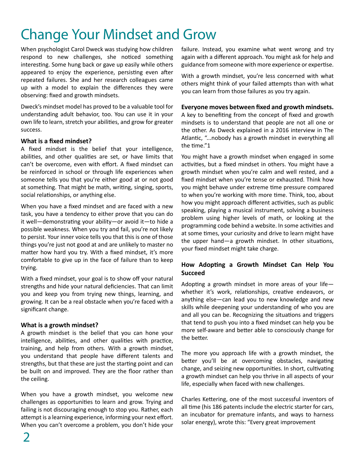# <span id="page-1-0"></span>Change Your Mindset and Grow

When psychologist Carol Dweck was studying how children respond to new challenges, she noticed something interesting. Some hung back or gave up easily while others appeared to enjoy the experience, persisting even after repeated failures. She and her research colleagues came up with a model to explain the differences they were observing: fixed and growth mindsets.

Dweck's mindset model has proved to be a valuable tool for understanding adult behavior, too. You can use it in your own life to learn, stretch your abilities, and grow for greater success.

#### **What is a fixed mindset?**

A fixed mindset is the belief that your intelligence, abilities, and other qualities are set, or have limits that can't be overcome, even with effort. A fixed mindset can be reinforced in school or through life experiences when someone tells you that you're either good at or not good at something. That might be math, writing, singing, sports, social relationships, or anything else.

When you have a fixed mindset and are faced with a new task, you have a tendency to either prove that you can do it well—demonstrating your ability—or avoid it—to hide a possible weakness. When you try and fail, you're not likely to persist. Your inner voice tells you that this is one of those things you're just not good at and are unlikely to master no matter how hard you try. With a fixed mindset, it's more comfortable to give up in the face of failure than to keep trying.

With a fixed mindset, your goal is to show off your natural strengths and hide your natural deficiencies. That can limit you and keep you from trying new things, learning, and growing. It can be a real obstacle when you're faced with a significant change.

#### **What is a growth mindset?**

A growth mindset is the belief that you can hone your intelligence, abilities, and other qualities with practice, training, and help from others. With a growth mindset, you understand that people have different talents and strengths, but that these are just the starting point and can be built on and improved. They are the floor rather than the ceiling.

When you have a growth mindset, you welcome new challenges as opportunities to learn and grow. Trying and failing is not discouraging enough to stop you. Rather, each attempt is a learning experience, informing your next effort. When you can't overcome a problem, you don't hide your failure. Instead, you examine what went wrong and try again with a different approach. You might ask for help and guidance from someone with more experience or expertise.

With a growth mindset, you're less concerned with what others might think of your failed attempts than with what you can learn from those failures as you try again.

### **Everyone moves between fixed and growth mindsets.**

A key to benefiting from the concept of fixed and growth mindsets is to understand that people are not all one or the other. As Dweck explained in a 2016 interview in The Atlantic, "...nobody has a growth mindset in everything all the time."1

You might have a growth mindset when engaged in some activities, but a fixed mindset in others. You might have a growth mindset when you're calm and well rested, and a fixed mindset when you're tense or exhausted. Think how you might behave under extreme time pressure compared to when you're working with more time. Think, too, about how you might approach different activities, such as public speaking, playing a musical instrument, solving a business problem using higher levels of math, or looking at the programming code behind a website. In some activities and at some times, your curiosity and drive to learn might have the upper hand—a growth mindset. In other situations, your fixed mindset might take charge.

### **How Adopting a Growth Mindset Can Help You Succeed**

Adopting a growth mindset in more areas of your life whether it's work, relationships, creative endeavors, or anything else—can lead you to new knowledge and new skills while deepening your understanding of who you are and all you can be. Recognizing the situations and triggers that tend to push you into a fixed mindset can help you be more self-aware and better able to consciously change for the better.

The more you approach life with a growth mindset, the better you'll be at overcoming obstacles, navigating change, and seizing new opportunities. In short, cultivating a growth mindset can help you thrive in all aspects of your life, especially when faced with new challenges.

Charles Kettering, one of the most successful inventors of all time (his 186 patents include the electric starter for cars, an incubator for premature infants, and ways to harness solar energy), wrote this: "Every great improvement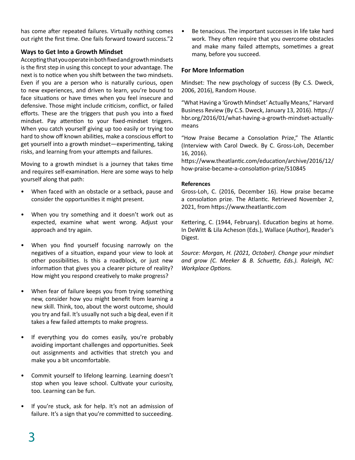has come after repeated failures. Virtually nothing comes out right the first time. One fails forward toward success."2

### **Ways to Get Into a Growth Mindset**

Accepting that you operate in both fixed and growth mindsets is the first step in using this concept to your advantage. The next is to notice when you shift between the two mindsets. Even if you are a person who is naturally curious, open to new experiences, and driven to learn, you're bound to face situations or have times when you feel insecure and defensive. Those might include criticism, conflict, or failed efforts. These are the triggers that push you into a fixed mindset. Pay attention to your fixed-mindset triggers. When you catch yourself giving up too easily or trying too hard to show off known abilities, make a conscious effort to get yourself into a growth mindset—experimenting, taking risks, and learning from your attempts and failures.

Moving to a growth mindset is a journey that takes time and requires self-examination. Here are some ways to help yourself along that path:

- When faced with an obstacle or a setback, pause and consider the opportunities it might present.
- When you try something and it doesn't work out as expected, examine what went wrong. Adjust your approach and try again.
- When you find yourself focusing narrowly on the negatives of a situation, expand your view to look at other possibilities. Is this a roadblock, or just new information that gives you a clearer picture of reality? How might you respond creatively to make progress?
- When fear of failure keeps you from trying something new, consider how you might benefit from learning a new skill. Think, too, about the worst outcome, should you try and fail. It's usually not such a big deal, even if it takes a few failed attempts to make progress.
- If everything you do comes easily, you're probably avoiding important challenges and opportunities. Seek out assignments and activities that stretch you and make you a bit uncomfortable.
- Commit yourself to lifelong learning. Learning doesn't stop when you leave school. Cultivate your curiosity, too. Learning can be fun.
- If you're stuck, ask for help. It's not an admission of failure. It's a sign that you're committed to succeeding.

Be tenacious. The important successes in life take hard work. They often require that you overcome obstacles and make many failed attempts, sometimes a great many, before you succeed.

### **For More Information**

Mindset: The new psychology of success (By C.S. Dweck, 2006, 2016), Random House.

"What Having a 'Growth Mindset' Actually Means," Harvard Business Review (By C.S. Dweck, January 13, 2016). https:// hbr.org/2016/01/what-having-a-growth-mindset-actuallymeans

"How Praise Became a Consolation Prize," The Atlantic (Interview with Carol Dweck. By C. Gross-Loh, December 16, 2016).

https://www.theatlantic.com/education/archive/2016/12/ how-praise-became-a-consolation-prize/510845

#### **References**

Gross-Loh, C. (2016, December 16). How praise became a consolation prize. The Atlantic. Retrieved November 2, 2021, from https://www.theatlantic.com

Kettering, C. (1944, February). Education begins at home. In DeWitt & Lila Acheson (Eds.), Wallace (Author), Reader's Digest.

*Source: Morgan, H. (2021, October). Change your mindset and grow (C. Meeker & B. Schuette, Eds.). Raleigh, NC: Workplace Options.*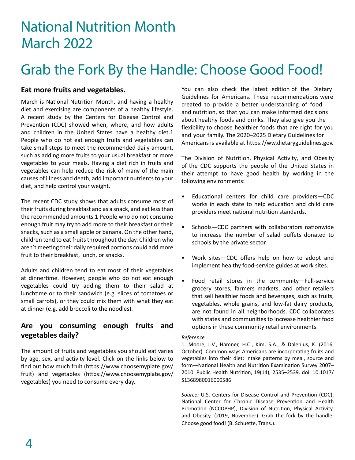# <span id="page-3-0"></span>National Nutrition Month March 2022

# Grab the Fork By the Handle: Choose Good Food!

## **Eat more fruits and vegetables.**

March is National Nutrition Month, and having a healthy diet and exercising are components of a healthy lifestyle. A recent study by the Centers for Disease Control and Prevention (CDC) showed when, where, and how adults and children in the United States have a healthy diet.1 People who do not eat enough fruits and vegetables can take small steps to meet the recommended daily amount, such as adding more fruits to your usual breakfast or more vegetables to your meals. Having a diet rich in fruits and vegetables can help reduce the risk of many of the main causes of illness and death, add important nutrients to your diet, and help control your weight.

The recent CDC study shows that adults consume most of their fruits during breakfast and as a snack, and eat less than the recommended amounts.1 People who do not consume enough fruit may try to add more to their breakfast or their snacks, such as a small apple or banana. On the other hand, children tend to eat fruits throughout the day. Children who aren't meeting their daily required portions could add more fruit to their breakfast, lunch, or snacks.

Adults and children tend to eat most of their vegetables at dinnertime. However, people who do not eat enough vegetables could try adding them to their salad at lunchtime or to their sandwich (e.g. slices of tomatoes or small carrots), or they could mix them with what they eat at dinner (e.g. add broccoli to the noodles).

# **Are you consuming enough fruits and vegetables daily?**

The amount of fruits and vegetables you should eat varies by age, sex, and activity level. Click on the links below to find out how much fruit (https://www.choosemyplate.gov/ fruit) and vegetables (https://www.choosemyplate.gov/ vegetables) you need to consume every day.

You can also check the latest edition of the Dietary Guidelines for Americans. These recommendations were created to provide a better understanding of food and nutrition, so that you can make informed decisions about healthy foods and drinks. They also give you the flexibility to choose healthier foods that are right for you and your family. The 2020–2025 Dietary Guidelines for Americans is available at https://ww.dietaryguidelines.gov.

The Division of Nutrition, Physical Activity, and Obesity of the CDC supports the people of the United States in their attempt to have good health by working in the following environments:

- Educational centers for child care providers—CDC works in each state to help education and child care providers meet national nutrition standards.
- Schools-CDC partners with collaborators nationwide to increase the number of salad buffets donated to schools by the private sector.
- Work sites—CDC offers help on how to adopt and implement healthy food-service guides at work sites.
- Food retail stores in the community—Full-service grocery stores, farmers markets, and other retailers that sell healthier foods and beverages, such as fruits, vegetables, whole grains, and low-fat dairy products, are not found in all neighborhoods. CDC collaborates with states and communities to increase healthier food options in these community retail environments.

#### *Reference*

1. Moore, L.V., Hamner, H.C., Kim, S.A., & Dalenius, K. (2016, October). Common ways Americans are incorporating fruits and vegetables into their diet: Intake patterns by meal, source and form—National Health and Nutrition Examination Survey 2007– 2010. Public Health Nutrition, 19(14), 2535–2539. doi: 10.1017/ S1368980016000586

*Source:* U.S. Centers for Disease Control and Prevention (CDC), National Center for Chronic Disease Prevention and Health Promotion (NCCDPHP), Division of Nutrition, Physical Activity, and Obesity. (2019, November). Grab the fork by the handle: Choose good food! (B. Schuette, Trans.).